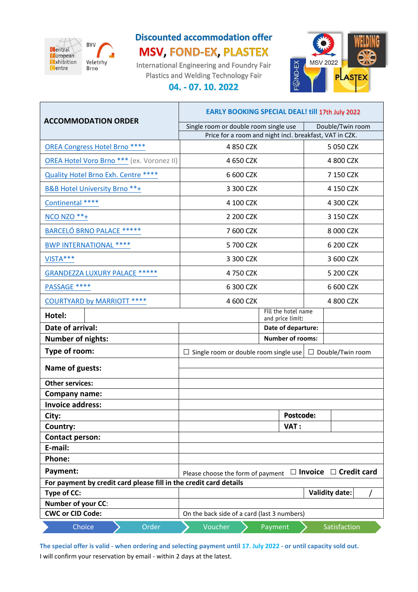

## **Discounted accommodation offer MSV, FOND-EX, PLASTEX**

International Engineering and Foundry Fair Plastics and Welding Technology Fair **04. - 07. 10. 2022**



|                                                                   | <b>EARLY BOOKING SPECIAL DEAL! till 17th July 2022</b>                 |                                         |                                                                      |
|-------------------------------------------------------------------|------------------------------------------------------------------------|-----------------------------------------|----------------------------------------------------------------------|
| <b>ACCOMMODATION ORDER</b>                                        | Double/Twin room<br>Single room or double room single use              |                                         |                                                                      |
|                                                                   | Price for a room and night incl. breakfast, VAT in CZK.                |                                         |                                                                      |
| <b>OREA Congress Hotel Brno ****</b>                              |                                                                        | 4 850 CZK                               | 5 050 CZK                                                            |
| OREA Hotel Voro Brno *** (ex. Voronez II)                         |                                                                        | 4 650 CZK                               | 4 800 CZK                                                            |
| <b>Quality Hotel Brno Exh. Centre ****</b>                        |                                                                        | 6 600 CZK                               | 7 150 CZK                                                            |
| <b>B&amp;B Hotel University Brno**+</b>                           |                                                                        | 3 300 CZK                               | 4 150 CZK                                                            |
| Continental ****                                                  |                                                                        | 4 100 CZK                               | 4 300 CZK                                                            |
| <b>NCO NZO **+</b>                                                |                                                                        | 2 200 CZK                               | 3 150 CZK                                                            |
| <b>BARCELÓ BRNO PALACE *****</b>                                  |                                                                        | 7 600 CZK                               | 8 000 CZK                                                            |
| <b>BWP INTERNATIONAL ****</b>                                     |                                                                        | 5 700 CZK                               | 6 200 CZK                                                            |
| VISTA***                                                          |                                                                        | 3 300 CZK                               | 3 600 CZK                                                            |
| <b>GRANDEZZA LUXURY PALACE *****</b>                              |                                                                        | 4 750 CZK                               | 5 200 CZK                                                            |
| PASSAGE ****                                                      |                                                                        | 6 300 CZK                               | 6 600 CZK                                                            |
| <b>COURTYARD by MARRIOTT ****</b>                                 |                                                                        | 4 600 CZK                               | 4 800 CZK                                                            |
| Hotel:                                                            |                                                                        | Fill the hotel name<br>and price limit: |                                                                      |
| Date of arrival:                                                  | Date of departure:                                                     |                                         |                                                                      |
| <b>Number of nights:</b>                                          |                                                                        | <b>Number of rooms:</b>                 |                                                                      |
| Type of room:                                                     |                                                                        |                                         | $\Box$ Single room or double room single use $\Box$ Double/Twin room |
| Name of guests:                                                   |                                                                        |                                         |                                                                      |
| <b>Other services:</b>                                            |                                                                        |                                         |                                                                      |
| <b>Company name:</b>                                              |                                                                        |                                         |                                                                      |
| <b>Invoice address:</b>                                           |                                                                        |                                         |                                                                      |
| City:                                                             |                                                                        | <b>Postcode:</b>                        |                                                                      |
| Country:                                                          |                                                                        | VAT:                                    |                                                                      |
| <b>Contact person:</b>                                            |                                                                        |                                         |                                                                      |
| E-mail:                                                           |                                                                        |                                         |                                                                      |
| Phone:                                                            |                                                                        |                                         |                                                                      |
| Payment:                                                          | $\Box$ Invoice $\Box$ Credit card<br>Please choose the form of payment |                                         |                                                                      |
| For payment by credit card please fill in the credit card details |                                                                        |                                         |                                                                      |
| Type of CC:                                                       |                                                                        |                                         | <b>Validity date:</b>                                                |
| Number of your CC:                                                |                                                                        |                                         |                                                                      |
| <b>CWC or CID Code:</b>                                           | On the back side of a card (last 3 numbers)                            |                                         |                                                                      |
| Order<br>Choice                                                   | Voucher                                                                | Payment                                 | Satisfaction                                                         |

**The special offer is valid - when ordering and selecting payment until 17. July 2022 - or until capacity sold out.**  I will confirm your reservation by email - within 2 days at the latest.